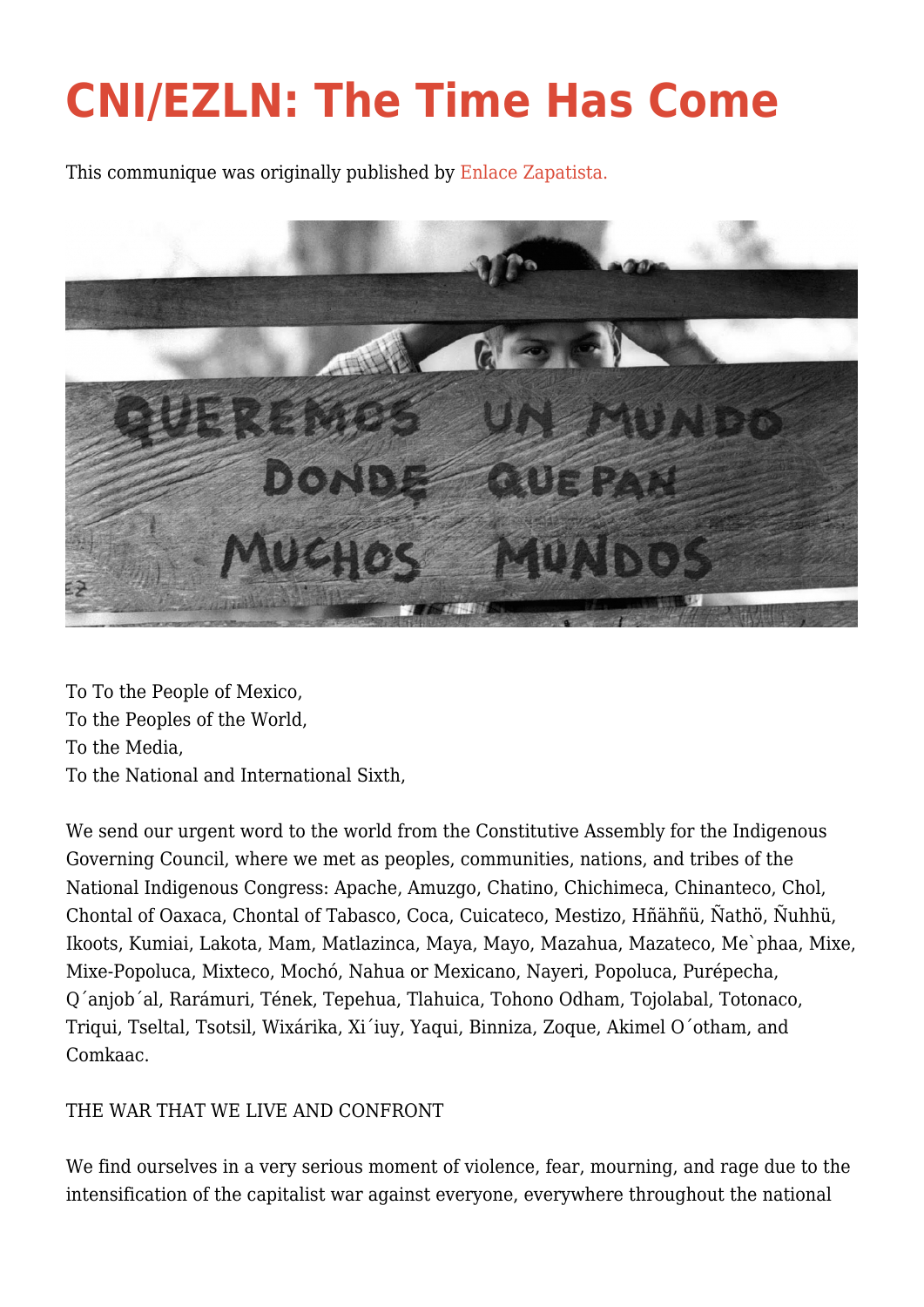## **[CNI/EZLN: The Time Has Come](http://intercommunalworkshop.org/cniezln-the-time-has-come/)**

This communique was originally published by [Enlace Zapatista.](http://enlacezapatista.ezln.org.mx/2017/05/31/the-time-has-come/)



To To the People of Mexico, To the Peoples of the World, To the Media, To the National and International Sixth,

We send our urgent word to the world from the Constitutive Assembly for the Indigenous Governing Council, where we met as peoples, communities, nations, and tribes of the National Indigenous Congress: Apache, Amuzgo, Chatino, Chichimeca, Chinanteco, Chol, Chontal of Oaxaca, Chontal of Tabasco, Coca, Cuicateco, Mestizo, Hñähñü, Ñathö, Ñuhhü, Ikoots, Kumiai, Lakota, Mam, Matlazinca, Maya, Mayo, Mazahua, Mazateco, Me`phaa, Mixe, Mixe-Popoluca, Mixteco, Mochó, Nahua or Mexicano, Nayeri, Popoluca, Purépecha, Q´anjob´al, Rarámuri, Tének, Tepehua, Tlahuica, Tohono Odham, Tojolabal, Totonaco, Triqui, Tseltal, Tsotsil, Wixárika, Xi´iuy, Yaqui, Binniza, Zoque, Akimel O´otham, and Comkaac.

## THE WAR THAT WE LIVE AND CONFRONT

We find ourselves in a very serious moment of violence, fear, mourning, and rage due to the intensification of the capitalist war against everyone, everywhere throughout the national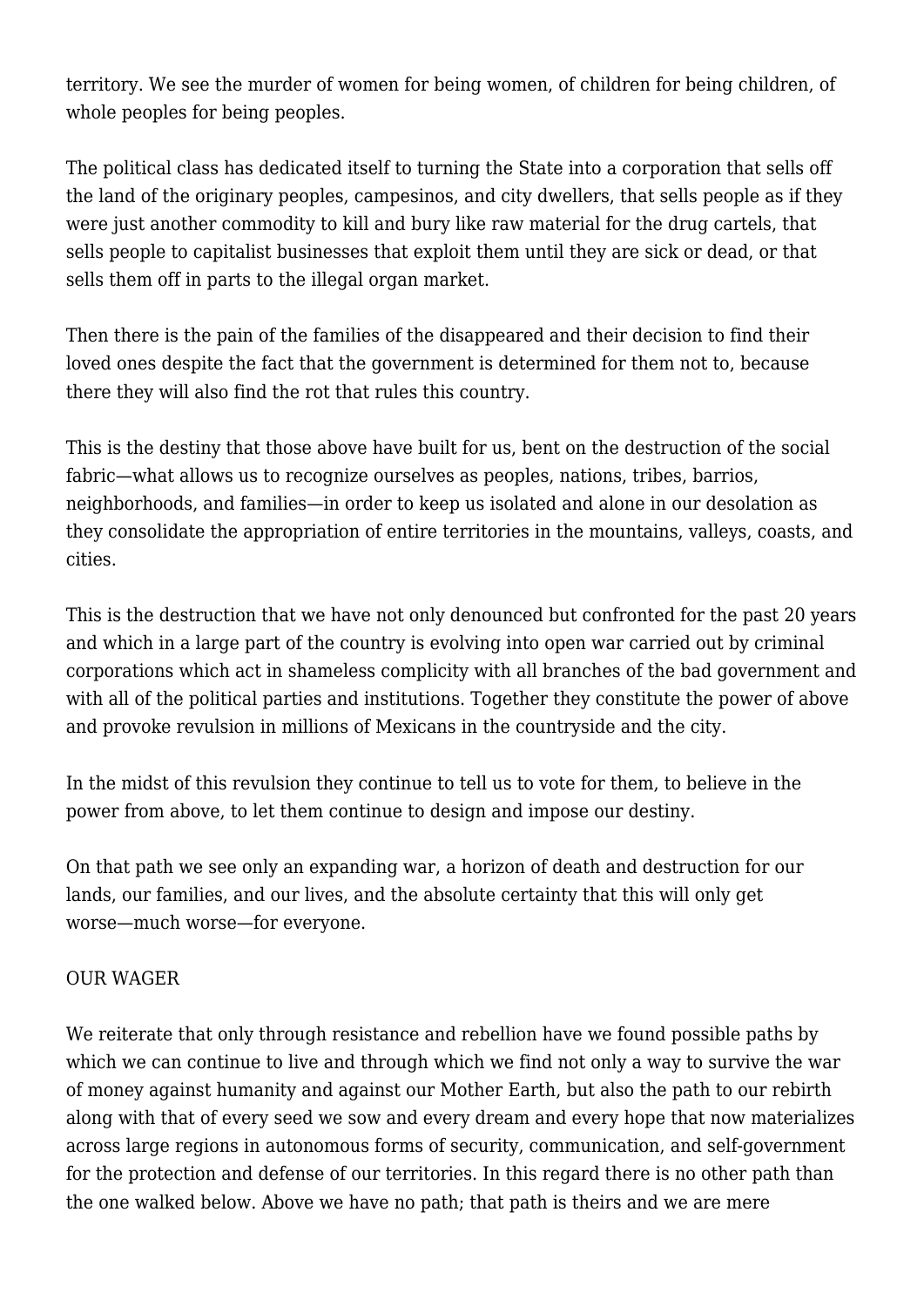territory. We see the murder of women for being women, of children for being children, of whole peoples for being peoples.

The political class has dedicated itself to turning the State into a corporation that sells off the land of the originary peoples, campesinos, and city dwellers, that sells people as if they were just another commodity to kill and bury like raw material for the drug cartels, that sells people to capitalist businesses that exploit them until they are sick or dead, or that sells them off in parts to the illegal organ market.

Then there is the pain of the families of the disappeared and their decision to find their loved ones despite the fact that the government is determined for them not to, because there they will also find the rot that rules this country.

This is the destiny that those above have built for us, bent on the destruction of the social fabric—what allows us to recognize ourselves as peoples, nations, tribes, barrios, neighborhoods, and families—in order to keep us isolated and alone in our desolation as they consolidate the appropriation of entire territories in the mountains, valleys, coasts, and cities.

This is the destruction that we have not only denounced but confronted for the past 20 years and which in a large part of the country is evolving into open war carried out by criminal corporations which act in shameless complicity with all branches of the bad government and with all of the political parties and institutions. Together they constitute the power of above and provoke revulsion in millions of Mexicans in the countryside and the city.

In the midst of this revulsion they continue to tell us to vote for them, to believe in the power from above, to let them continue to design and impose our destiny.

On that path we see only an expanding war, a horizon of death and destruction for our lands, our families, and our lives, and the absolute certainty that this will only get worse—much worse—for everyone.

## OUR WAGER

We reiterate that only through resistance and rebellion have we found possible paths by which we can continue to live and through which we find not only a way to survive the war of money against humanity and against our Mother Earth, but also the path to our rebirth along with that of every seed we sow and every dream and every hope that now materializes across large regions in autonomous forms of security, communication, and self-government for the protection and defense of our territories. In this regard there is no other path than the one walked below. Above we have no path; that path is theirs and we are mere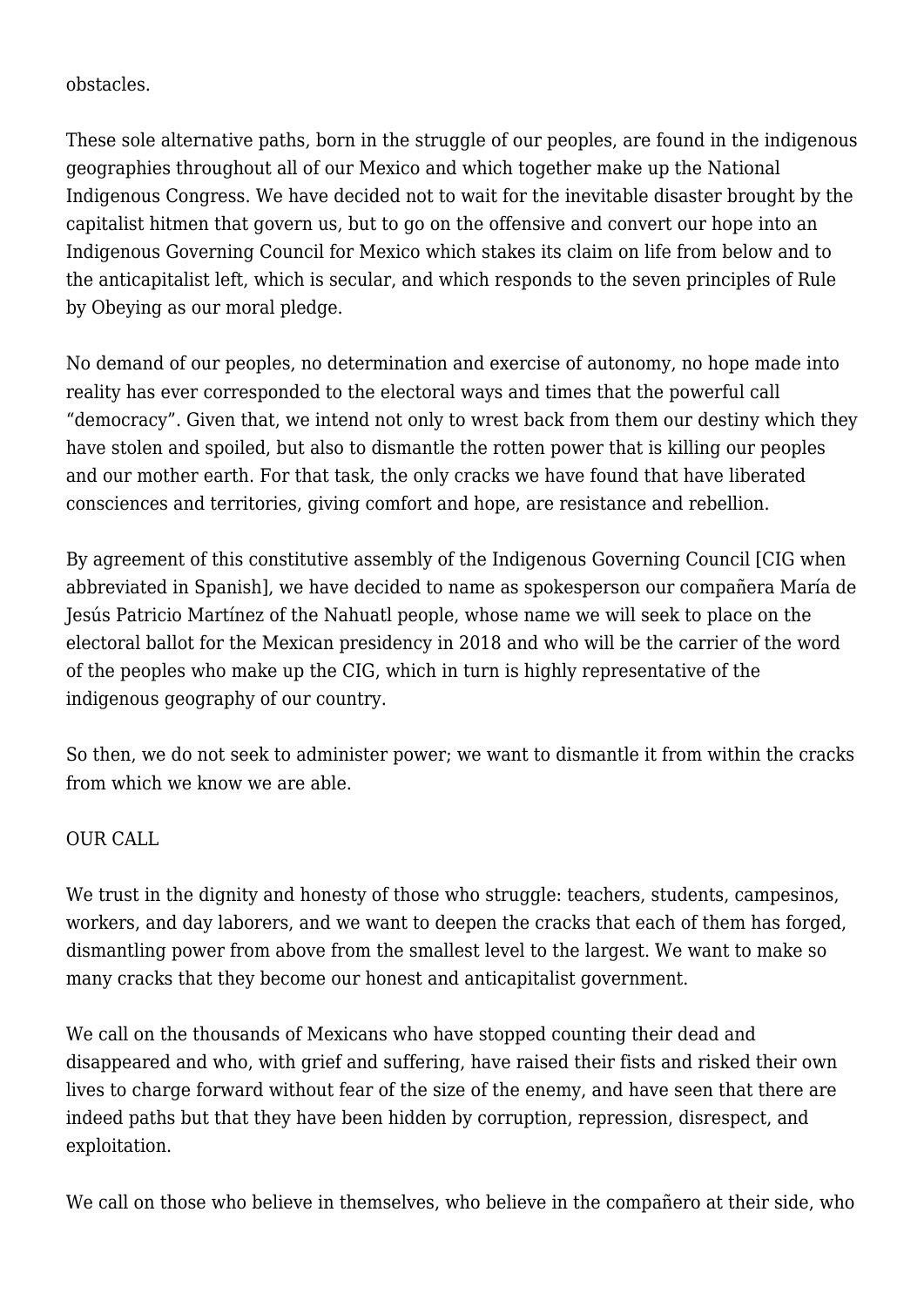obstacles.

These sole alternative paths, born in the struggle of our peoples, are found in the indigenous geographies throughout all of our Mexico and which together make up the National Indigenous Congress. We have decided not to wait for the inevitable disaster brought by the capitalist hitmen that govern us, but to go on the offensive and convert our hope into an Indigenous Governing Council for Mexico which stakes its claim on life from below and to the anticapitalist left, which is secular, and which responds to the seven principles of Rule by Obeying as our moral pledge.

No demand of our peoples, no determination and exercise of autonomy, no hope made into reality has ever corresponded to the electoral ways and times that the powerful call "democracy". Given that, we intend not only to wrest back from them our destiny which they have stolen and spoiled, but also to dismantle the rotten power that is killing our peoples and our mother earth. For that task, the only cracks we have found that have liberated consciences and territories, giving comfort and hope, are resistance and rebellion.

By agreement of this constitutive assembly of the Indigenous Governing Council [CIG when abbreviated in Spanish], we have decided to name as spokesperson our compañera María de Jesús Patricio Martínez of the Nahuatl people, whose name we will seek to place on the electoral ballot for the Mexican presidency in 2018 and who will be the carrier of the word of the peoples who make up the CIG, which in turn is highly representative of the indigenous geography of our country.

So then, we do not seek to administer power; we want to dismantle it from within the cracks from which we know we are able.

## OUR CALL

We trust in the dignity and honesty of those who struggle: teachers, students, campesinos, workers, and day laborers, and we want to deepen the cracks that each of them has forged, dismantling power from above from the smallest level to the largest. We want to make so many cracks that they become our honest and anticapitalist government.

We call on the thousands of Mexicans who have stopped counting their dead and disappeared and who, with grief and suffering, have raised their fists and risked their own lives to charge forward without fear of the size of the enemy, and have seen that there are indeed paths but that they have been hidden by corruption, repression, disrespect, and exploitation.

We call on those who believe in themselves, who believe in the compañero at their side, who